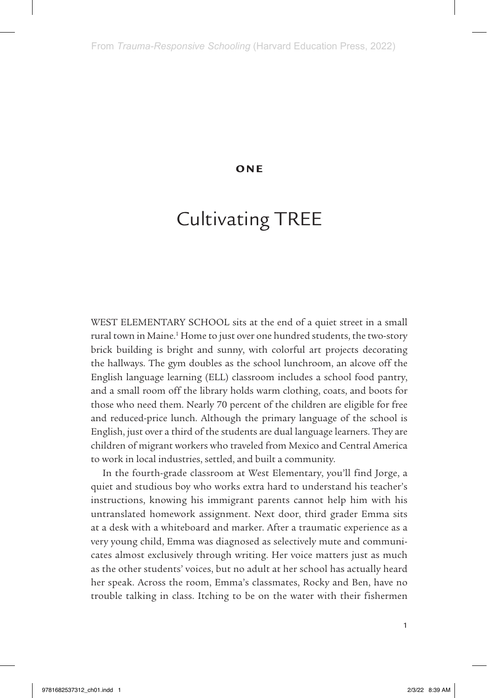### ONE

# Cultivating TREE

WEST ELEMENTARY SCHOOL sits at the end of a quiet street in a small rural town in Maine.<sup>1</sup> Home to just over one hundred students, the two-story brick building is bright and sunny, with colorful art projects decorating the hallways. The gym doubles as the school lunchroom, an alcove off the English language learning (ELL) classroom includes a school food pantry, and a small room off the library holds warm clothing, coats, and boots for those who need them. Nearly 70 percent of the children are eligible for free and reduced-price lunch. Although the primary language of the school is English, just over a third of the students are dual language learners. They are children of migrant workers who traveled from Mexico and Central America to work in local industries, settled, and built a community.

In the fourth-grade classroom at West Elementary, you'll find Jorge, a quiet and studious boy who works extra hard to understand his teacher's instructions, knowing his immigrant parents cannot help him with his untranslated homework assignment. Next door, third grader Emma sits at a desk with a whiteboard and marker. After a traumatic experience as a very young child, Emma was diagnosed as selectively mute and communicates almost exclusively through writing. Her voice matters just as much as the other students' voices, but no adult at her school has actually heard her speak. Across the room, Emma's classmates, Rocky and Ben, have no trouble talking in class. Itching to be on the water with their fishermen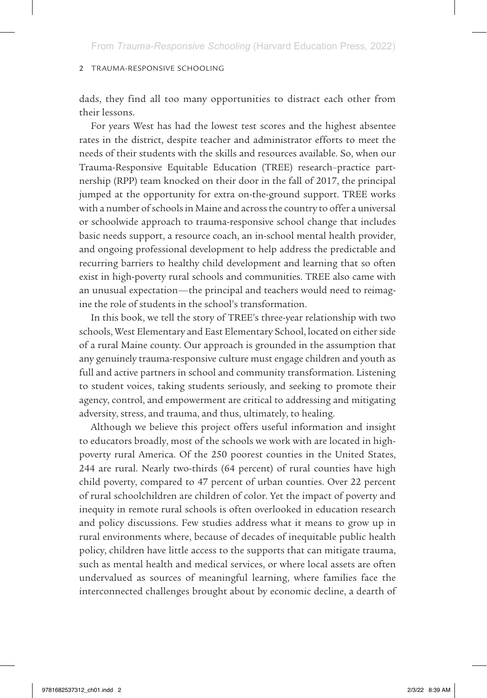dads, they find all too many opportunities to distract each other from their lessons.

For years West has had the lowest test scores and the highest absentee rates in the district, despite teacher and administrator efforts to meet the needs of their students with the skills and resources available. So, when our Trauma-Responsive Equitable Education (TREE) research–practice partnership (RPP) team knocked on their door in the fall of 2017, the principal jumped at the opportunity for extra on-the-ground support. TREE works with a number of schools in Maine and across the country to offer a universal or schoolwide approach to trauma-responsive school change that includes basic needs support, a resource coach, an in-school mental health provider, and ongoing professional development to help address the predictable and recurring barriers to healthy child development and learning that so often exist in high-poverty rural schools and communities. TREE also came with an unusual expectation—the principal and teachers would need to reimagine the role of students in the school's transformation.

In this book, we tell the story of TREE's three-year relationship with two schools, West Elementary and East Elementary School, located on either side of a rural Maine county. Our approach is grounded in the assumption that any genuinely trauma-responsive culture must engage children and youth as full and active partners in school and community transformation. Listening to student voices, taking students seriously, and seeking to promote their agency, control, and empowerment are critical to addressing and mitigating adversity, stress, and trauma, and thus, ultimately, to healing.

Although we believe this project offers useful information and insight to educators broadly, most of the schools we work with are located in highpoverty rural America. Of the 250 poorest counties in the United States, 244 are rural. Nearly two-thirds (64 percent) of rural counties have high child poverty, compared to 47 percent of urban counties. Over 22 percent of rural schoolchildren are children of color. Yet the impact of poverty and inequity in remote rural schools is often overlooked in education research and policy discussions. Few studies address what it means to grow up in rural environments where, because of decades of inequitable public health policy, children have little access to the supports that can mitigate trauma, such as mental health and medical services, or where local assets are often undervalued as sources of meaningful learning, where families face the interconnected challenges brought about by economic decline, a dearth of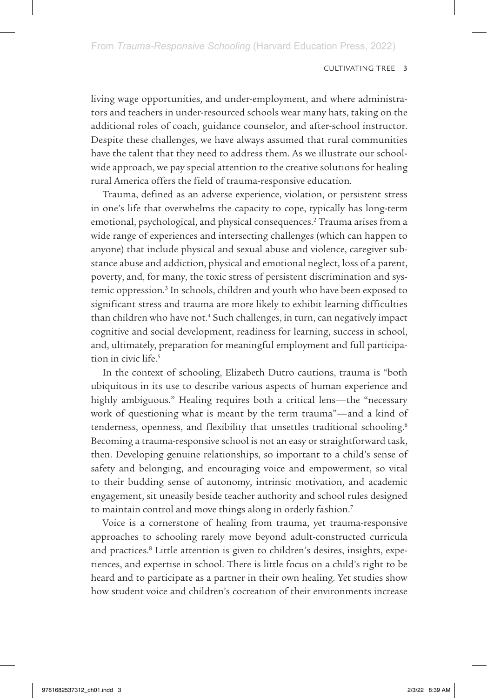living wage opportunities, and under-employment, and where administrators and teachers in under-resourced schools wear many hats, taking on the additional roles of coach, guidance counselor, and after-school instructor. Despite these challenges, we have always assumed that rural communities have the talent that they need to address them. As we illustrate our schoolwide approach, we pay special attention to the creative solutions for healing rural America offers the field of trauma-responsive education.

Trauma, defined as an adverse experience, violation, or persistent stress in one's life that overwhelms the capacity to cope, typically has long-term emotional, psychological, and physical consequences.<sup>2</sup> Trauma arises from a wide range of experiences and intersecting challenges (which can happen to anyone) that include physical and sexual abuse and violence, caregiver substance abuse and addiction, physical and emotional neglect, loss of a parent, poverty, and, for many, the toxic stress of persistent discrimination and systemic oppression.<sup>3</sup> In schools, children and youth who have been exposed to significant stress and trauma are more likely to exhibit learning difficulties than children who have not.<sup>4</sup> Such challenges, in turn, can negatively impact cognitive and social development, readiness for learning, success in school, and, ultimately, preparation for meaningful employment and full participation in civic life.<sup>5</sup>

In the context of schooling, Elizabeth Dutro cautions, trauma is "both ubiquitous in its use to describe various aspects of human experience and highly ambiguous." Healing requires both a critical lens—the "necessary work of questioning what is meant by the term trauma"—and a kind of tenderness, openness, and flexibility that unsettles traditional schooling.<sup>6</sup> Becoming a trauma-responsive school is not an easy or straightforward task, then. Developing genuine relationships, so important to a child's sense of safety and belonging, and encouraging voice and empowerment, so vital to their budding sense of autonomy, intrinsic motivation, and academic engagement, sit uneasily beside teacher authority and school rules designed to maintain control and move things along in orderly fashion.7

Voice is a cornerstone of healing from trauma, yet trauma-responsive approaches to schooling rarely move beyond adult-constructed curricula and practices.<sup>8</sup> Little attention is given to children's desires, insights, experiences, and expertise in school. There is little focus on a child's right to be heard and to participate as a partner in their own healing. Yet studies show how student voice and children's cocreation of their environments increase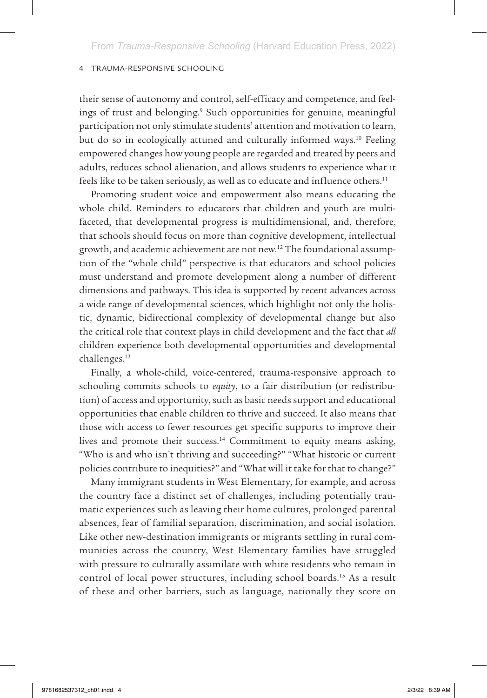their sense of autonomy and control, self-efficacy and competence, and feelings of trust and belonging.<sup>9</sup> Such opportunities for genuine, meaningful participation not only stimulate students' attention and motivation to learn, but do so in ecologically attuned and culturally informed ways.<sup>10</sup> Feeling empowered changes how young people are regarded and treated by peers and adults, reduces school alienation, and allows students to experience what it feels like to be taken seriously, as well as to educate and influence others.<sup>11</sup>

Promoting student voice and empowerment also means educating the whole child. Reminders to educators that children and youth are multifaceted, that developmental progress is multidimensional, and, therefore, that schools should focus on more than cognitive development, intellectual growth, and academic achievement are not new.12 The foundational assumption of the "whole child" perspective is that educators and school policies must understand and promote development along a number of different dimensions and pathways. This idea is supported by recent advances across a wide range of developmental sciences, which highlight not only the holistic, dynamic, bidirectional complexity of developmental change but also the critical role that context plays in child development and the fact that *all*  children experience both developmental opportunities and developmental challenges.13

Finally, a whole-child, voice-centered, trauma-responsive approach to schooling commits schools to *equity*, to a fair distribution (or redistribution) of access and opportunity, such as basic needs support and educational opportunities that enable children to thrive and succeed. It also means that those with access to fewer resources get specific supports to improve their lives and promote their success.<sup>14</sup> Commitment to equity means asking, "Who is and who isn't thriving and succeeding?" "What historic or current policies contribute to inequities?" and "What will it take for that to change?"

Many immigrant students in West Elementary, for example, and across the country face a distinct set of challenges, including potentially traumatic experiences such as leaving their home cultures, prolonged parental absences, fear of familial separation, discrimination, and social isolation. Like other new-destination immigrants or migrants settling in rural communities across the country, West Elementary families have struggled with pressure to culturally assimilate with white residents who remain in control of local power structures, including school boards.15 As a result of these and other barriers, such as language, nationally they score on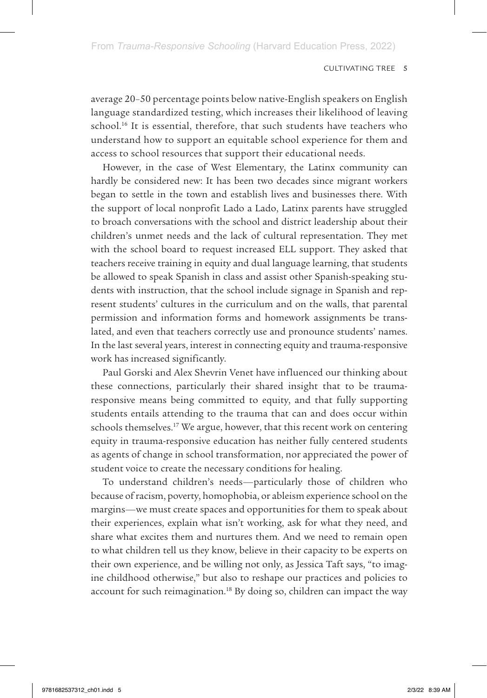average 20–50 percentage points below native-English speakers on English language standardized testing, which increases their likelihood of leaving school.<sup>16</sup> It is essential, therefore, that such students have teachers who understand how to support an equitable school experience for them and access to school resources that support their educational needs.

However, in the case of West Elementary, the Latinx community can hardly be considered new: It has been two decades since migrant workers began to settle in the town and establish lives and businesses there. With the support of local nonprofit Lado a Lado, Latinx parents have struggled to broach conversations with the school and district leadership about their children's unmet needs and the lack of cultural representation. They met with the school board to request increased ELL support. They asked that teachers receive training in equity and dual language learning, that students be allowed to speak Spanish in class and assist other Spanish-speaking students with instruction, that the school include signage in Spanish and represent students' cultures in the curriculum and on the walls, that parental permission and information forms and homework assignments be translated, and even that teachers correctly use and pronounce students' names. In the last several years, interest in connecting equity and trauma-responsive work has increased significantly.

Paul Gorski and Alex Shevrin Venet have influenced our thinking about these connections, particularly their shared insight that to be traumaresponsive means being committed to equity, and that fully supporting students entails attending to the trauma that can and does occur within schools themselves.<sup>17</sup> We argue, however, that this recent work on centering equity in trauma-responsive education has neither fully centered students as agents of change in school transformation, nor appreciated the power of student voice to create the necessary conditions for healing.

To understand children's needs—particularly those of children who because of racism, poverty, homophobia, or ableism experience school on the margins—we must create spaces and opportunities for them to speak about their experiences, explain what isn't working, ask for what they need, and share what excites them and nurtures them. And we need to remain open to what children tell us they know, believe in their capacity to be experts on their own experience, and be willing not only, as Jessica Taft says, "to imagine childhood otherwise," but also to reshape our practices and policies to account for such reimagination.<sup>18</sup> By doing so, children can impact the way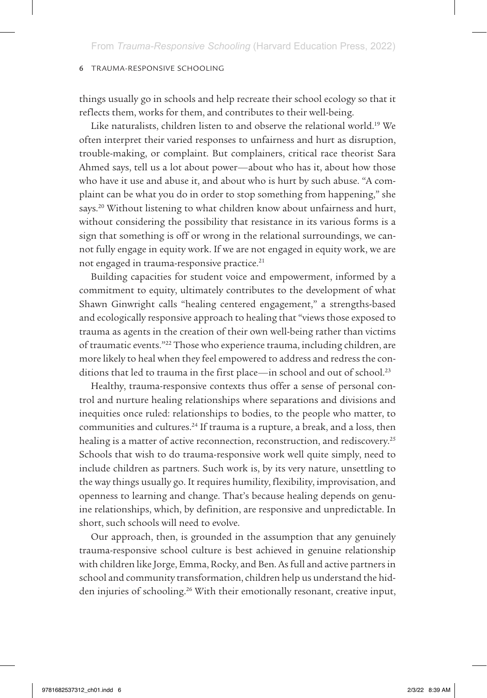things usually go in schools and help recreate their school ecology so that it reflects them, works for them, and contributes to their well-being.

Like naturalists, children listen to and observe the relational world.<sup>19</sup> We often interpret their varied responses to unfairness and hurt as disruption, trouble-making, or complaint. But complainers, critical race theorist Sara Ahmed says, tell us a lot about power—about who has it, about how those who have it use and abuse it, and about who is hurt by such abuse. "A complaint can be what you do in order to stop something from happening," she says.<sup>20</sup> Without listening to what children know about unfairness and hurt, without considering the possibility that resistance in its various forms is a sign that something is off or wrong in the relational surroundings, we cannot fully engage in equity work. If we are not engaged in equity work, we are not engaged in trauma-responsive practice.<sup>21</sup>

Building capacities for student voice and empowerment, informed by a commitment to equity, ultimately contributes to the development of what Shawn Ginwright calls "healing centered engagement," a strengths-based and ecologically responsive approach to healing that "views those exposed to trauma as agents in the creation of their own well-being rather than victims of traumatic events."22 Those who experience trauma, including children, are more likely to heal when they feel empowered to address and redress the conditions that led to trauma in the first place—in school and out of school.<sup>23</sup>

Healthy, trauma-responsive contexts thus offer a sense of personal control and nurture healing relationships where separations and divisions and inequities once ruled: relationships to bodies, to the people who matter, to communities and cultures.<sup>24</sup> If trauma is a rupture, a break, and a loss, then healing is a matter of active reconnection, reconstruction, and rediscovery.<sup>25</sup> Schools that wish to do trauma-responsive work well quite simply, need to include children as partners. Such work is, by its very nature, unsettling to the way things usually go. It requires humility, flexibility, improvisation, and openness to learning and change. That's because healing depends on genuine relationships, which, by definition, are responsive and unpredictable. In short, such schools will need to evolve.

Our approach, then, is grounded in the assumption that any genuinely trauma-responsive school culture is best achieved in genuine relationship with children like Jorge, Emma, Rocky, and Ben. As full and active partners in school and community transformation, children help us understand the hidden injuries of schooling.<sup>26</sup> With their emotionally resonant, creative input,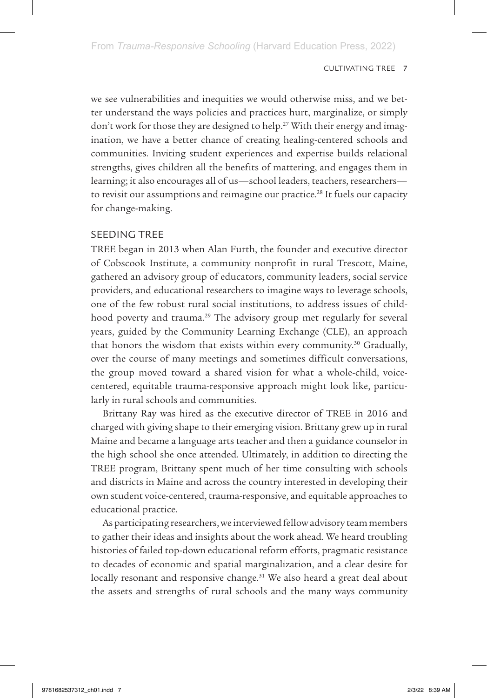we see vulnerabilities and inequities we would otherwise miss, and we better understand the ways policies and practices hurt, marginalize, or simply don't work for those they are designed to help.<sup>27</sup> With their energy and imagination, we have a better chance of creating healing-centered schools and communities. Inviting student experiences and expertise builds relational strengths, gives children all the benefits of mattering, and engages them in learning; it also encourages all of us—school leaders, teachers, researchers to revisit our assumptions and reimagine our practice.<sup>28</sup> It fuels our capacity for change-making.

# SEEDING TREE

TREE began in 2013 when Alan Furth, the founder and executive director of Cobscook Institute, a community nonprofit in rural Trescott, Maine, gathered an advisory group of educators, community leaders, social service providers, and educational researchers to imagine ways to leverage schools, one of the few robust rural social institutions, to address issues of childhood poverty and trauma.29 The advisory group met regularly for several years, guided by the Community Learning Exchange (CLE), an approach that honors the wisdom that exists within every community.30 Gradually, over the course of many meetings and sometimes difficult conversations, the group moved toward a shared vision for what a whole-child, voicecentered, equitable trauma-responsive approach might look like, particularly in rural schools and communities.

Brittany Ray was hired as the executive director of TREE in 2016 and charged with giving shape to their emerging vision. Brittany grew up in rural Maine and became a language arts teacher and then a guidance counselor in the high school she once attended. Ultimately, in addition to directing the TREE program, Brittany spent much of her time consulting with schools and districts in Maine and across the country interested in developing their own student voice-centered, trauma-responsive, and equitable approaches to educational practice.

As participating researchers, we interviewed fellow advisory team members to gather their ideas and insights about the work ahead. We heard troubling histories of failed top-down educational reform efforts, pragmatic resistance to decades of economic and spatial marginalization, and a clear desire for locally resonant and responsive change.<sup>31</sup> We also heard a great deal about the assets and strengths of rural schools and the many ways community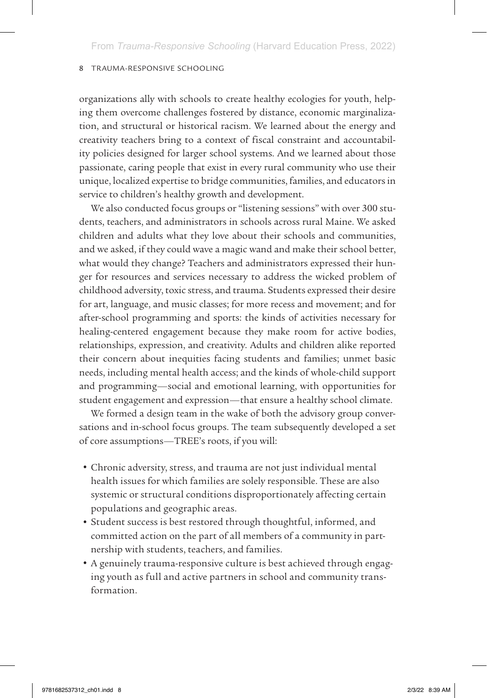organizations ally with schools to create healthy ecologies for youth, helping them overcome challenges fostered by distance, economic marginalization, and structural or historical racism. We learned about the energy and creativity teachers bring to a context of fiscal constraint and accountability policies designed for larger school systems. And we learned about those passionate, caring people that exist in every rural community who use their unique, localized expertise to bridge communities, families, and educators in service to children's healthy growth and development.

We also conducted focus groups or "listening sessions" with over 300 students, teachers, and administrators in schools across rural Maine. We asked children and adults what they love about their schools and communities, and we asked, if they could wave a magic wand and make their school better, what would they change? Teachers and administrators expressed their hunger for resources and services necessary to address the wicked problem of childhood adversity, toxic stress, and trauma. Students expressed their desire for art, language, and music classes; for more recess and movement; and for after-school programming and sports: the kinds of activities necessary for healing-centered engagement because they make room for active bodies, relationships, expression, and creativity. Adults and children alike reported their concern about inequities facing students and families; unmet basic needs, including mental health access; and the kinds of whole-child support and programming—social and emotional learning, with opportunities for student engagement and expression—that ensure a healthy school climate.

We formed a design team in the wake of both the advisory group conversations and in-school focus groups. The team subsequently developed a set of core assumptions—TREE's roots, if you will:

- Chronic adversity, stress, and trauma are not just individual mental health issues for which families are solely responsible. These are also systemic or structural conditions disproportionately affecting certain populations and geographic areas.
- Student success is best restored through thoughtful, informed, and committed action on the part of all members of a community in partnership with students, teachers, and families.
- A genuinely trauma-responsive culture is best achieved through engaging youth as full and active partners in school and community transformation.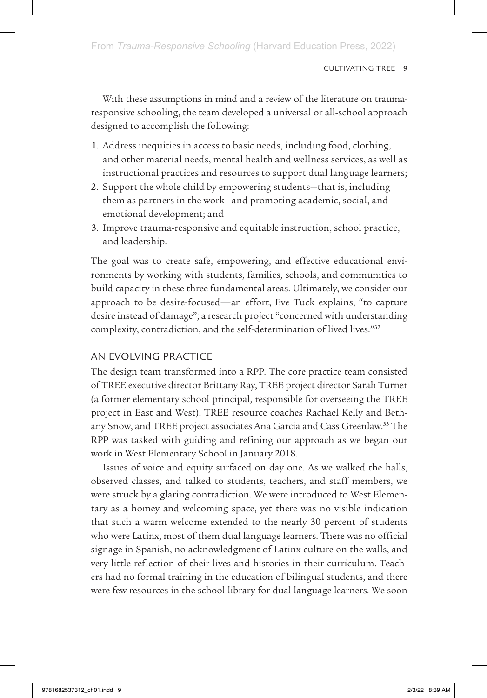With these assumptions in mind and a review of the literature on traumaresponsive schooling, the team developed a universal or all-school approach designed to accomplish the following:

- 1. Address inequities in access to basic needs, including food, clothing, and other material needs, mental health and wellness services, as well as instructional practices and resources to support dual language learners;
- 2. Support the whole child by empowering students—that is, including them as partners in the work—and promoting academic, social, and emotional development; and
- 3. Improve trauma-responsive and equitable instruction, school practice, and leadership.

The goal was to create safe, empowering, and effective educational environments by working with students, families, schools, and communities to build capacity in these three fundamental areas. Ultimately, we consider our approach to be desire-focused—an effort, Eve Tuck explains, "to capture desire instead of damage"; a research project "concerned with understanding complexity, contradiction, and the self-determination of lived lives."32

# AN EVOLVING PRACTICE

The design team transformed into a RPP. The core practice team consisted of TREE executive director Brittany Ray, TREE project director Sarah Turner (a former elementary school principal, responsible for overseeing the TREE project in East and West), TREE resource coaches Rachael Kelly and Bethany Snow, and TREE project associates Ana Garcia and Cass Greenlaw.<sup>33</sup> The RPP was tasked with guiding and refining our approach as we began our work in West Elementary School in January 2018.

Issues of voice and equity surfaced on day one. As we walked the halls, observed classes, and talked to students, teachers, and staff members, we were struck by a glaring contradiction. We were introduced to West Elementary as a homey and welcoming space, yet there was no visible indication that such a warm welcome extended to the nearly 30 percent of students who were Latinx, most of them dual language learners. There was no official signage in Spanish, no acknowledgment of Latinx culture on the walls, and very little reflection of their lives and histories in their curriculum. Teachers had no formal training in the education of bilingual students, and there were few resources in the school library for dual language learners. We soon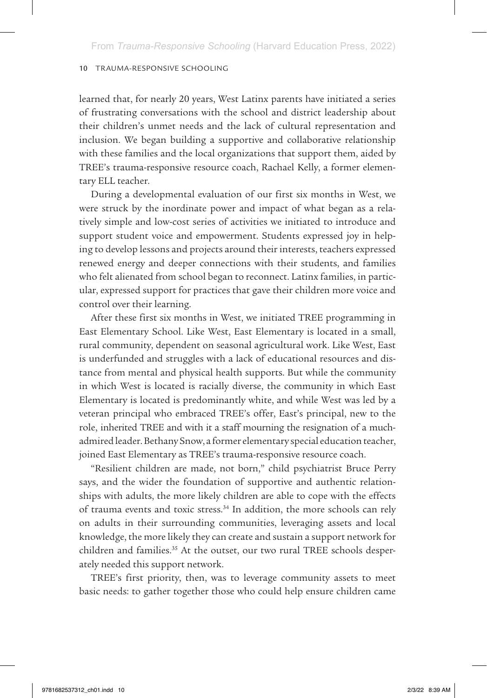learned that, for nearly 20 years, West Latinx parents have initiated a series of frustrating conversations with the school and district leadership about their children's unmet needs and the lack of cultural representation and inclusion. We began building a supportive and collaborative relationship with these families and the local organizations that support them, aided by TREE's trauma-responsive resource coach, Rachael Kelly, a former elementary ELL teacher.

During a developmental evaluation of our first six months in West, we were struck by the inordinate power and impact of what began as a relatively simple and low-cost series of activities we initiated to introduce and support student voice and empowerment. Students expressed joy in helping to develop lessons and projects around their interests, teachers expressed renewed energy and deeper connections with their students, and families who felt alienated from school began to reconnect. Latinx families, in particular, expressed support for practices that gave their children more voice and control over their learning.

After these first six months in West, we initiated TREE programming in East Elementary School. Like West, East Elementary is located in a small, rural community, dependent on seasonal agricultural work. Like West, East is underfunded and struggles with a lack of educational resources and distance from mental and physical health supports. But while the community in which West is located is racially diverse, the community in which East Elementary is located is predominantly white, and while West was led by a veteran principal who embraced TREE's offer, East's principal, new to the role, inherited TREE and with it a staff mourning the resignation of a muchadmired leader. Bethany Snow, a former elementary special education teacher, joined East Elementary as TREE's trauma-responsive resource coach.

"Resilient children are made, not born," child psychiatrist Bruce Perry says, and the wider the foundation of supportive and authentic relationships with adults, the more likely children are able to cope with the effects of trauma events and toxic stress.<sup>34</sup> In addition, the more schools can rely on adults in their surrounding communities, leveraging assets and local knowledge, the more likely they can create and sustain a support network for children and families.<sup>35</sup> At the outset, our two rural TREE schools desperately needed this support network.

TREE's first priority, then, was to leverage community assets to meet basic needs: to gather together those who could help ensure children came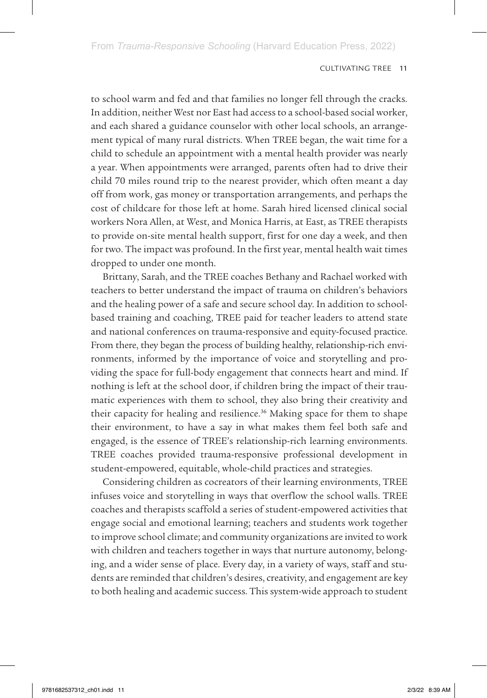to school warm and fed and that families no longer fell through the cracks. In addition, neither West nor East had access to a school-based social worker, and each shared a guidance counselor with other local schools, an arrangement typical of many rural districts. When TREE began, the wait time for a child to schedule an appointment with a mental health provider was nearly a year. When appointments were arranged, parents often had to drive their child 70 miles round trip to the nearest provider, which often meant a day off from work, gas money or transportation arrangements, and perhaps the cost of childcare for those left at home. Sarah hired licensed clinical social workers Nora Allen, at West, and Monica Harris, at East, as TREE therapists to provide on-site mental health support, first for one day a week, and then for two. The impact was profound. In the first year, mental health wait times dropped to under one month.

Brittany, Sarah, and the TREE coaches Bethany and Rachael worked with teachers to better understand the impact of trauma on children's behaviors and the healing power of a safe and secure school day. In addition to schoolbased training and coaching, TREE paid for teacher leaders to attend state and national conferences on trauma-responsive and equity-focused practice. From there, they began the process of building healthy, relationship-rich environments, informed by the importance of voice and storytelling and providing the space for full-body engagement that connects heart and mind. If nothing is left at the school door, if children bring the impact of their traumatic experiences with them to school, they also bring their creativity and their capacity for healing and resilience.<sup>36</sup> Making space for them to shape their environment, to have a say in what makes them feel both safe and engaged, is the essence of TREE's relationship-rich learning environments. TREE coaches provided trauma-responsive professional development in student-empowered, equitable, whole-child practices and strategies.

Considering children as cocreators of their learning environments, TREE infuses voice and storytelling in ways that overflow the school walls. TREE coaches and therapists scaffold a series of student-empowered activities that engage social and emotional learning; teachers and students work together to improve school climate; and community organizations are invited to work with children and teachers together in ways that nurture autonomy, belonging, and a wider sense of place. Every day, in a variety of ways, staff and students are reminded that children's desires, creativity, and engagement are key to both healing and academic success. This system-wide approach to student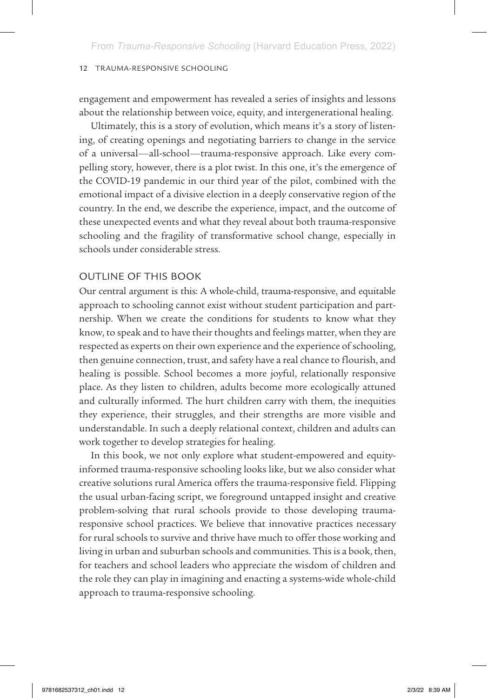engagement and empowerment has revealed a series of insights and lessons about the relationship between voice, equity, and intergenerational healing.

Ultimately, this is a story of evolution, which means it's a story of listening, of creating openings and negotiating barriers to change in the service of a universal—all-school—trauma-responsive approach. Like every compelling story, however, there is a plot twist. In this one, it's the emergence of the COVID-19 pandemic in our third year of the pilot, combined with the emotional impact of a divisive election in a deeply conservative region of the country. In the end, we describe the experience, impact, and the outcome of these unexpected events and what they reveal about both trauma-responsive schooling and the fragility of transformative school change, especially in schools under considerable stress.

## OUTLINE OF THIS BOOK

Our central argument is this: A whole-child, trauma-responsive, and equitable approach to schooling cannot exist without student participation and partnership. When we create the conditions for students to know what they know, to speak and to have their thoughts and feelings matter, when they are respected as experts on their own experience and the experience of schooling, then genuine connection, trust, and safety have a real chance to flourish, and healing is possible. School becomes a more joyful, relationally responsive place. As they listen to children, adults become more ecologically attuned and culturally informed. The hurt children carry with them, the inequities they experience, their struggles, and their strengths are more visible and understandable. In such a deeply relational context, children and adults can work together to develop strategies for healing.

In this book, we not only explore what student-empowered and equityinformed trauma-responsive schooling looks like, but we also consider what creative solutions rural America offers the trauma-responsive field. Flipping the usual urban-facing script, we foreground untapped insight and creative problem-solving that rural schools provide to those developing traumaresponsive school practices. We believe that innovative practices necessary for rural schools to survive and thrive have much to offer those working and living in urban and suburban schools and communities. This is a book, then, for teachers and school leaders who appreciate the wisdom of children and the role they can play in imagining and enacting a systems-wide whole-child approach to trauma-responsive schooling.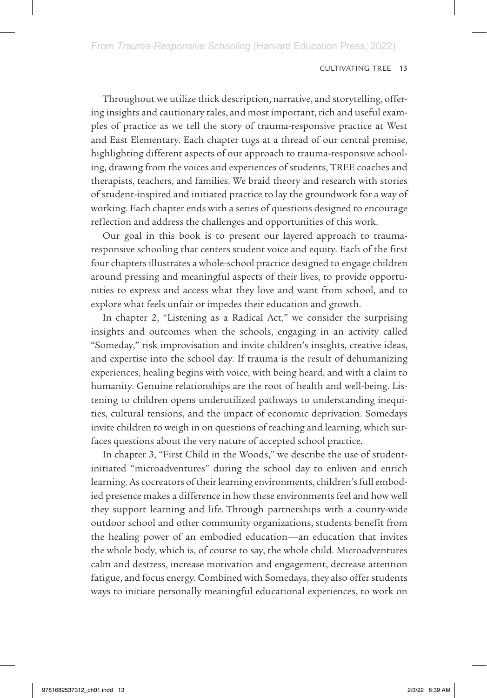Throughout we utilize thick description, narrative, and storytelling, offering insights and cautionary tales, and most important, rich and useful examples of practice as we tell the story of trauma-responsive practice at West and East Elementary. Each chapter tugs at a thread of our central premise, highlighting different aspects of our approach to trauma-responsive schooling, drawing from the voices and experiences of students, TREE coaches and therapists, teachers, and families. We braid theory and research with stories of student-inspired and initiated practice to lay the groundwork for a way of working. Each chapter ends with a series of questions designed to encourage reflection and address the challenges and opportunities of this work.

Our goal in this book is to present our layered approach to traumaresponsive schooling that centers student voice and equity. Each of the first four chapters illustrates a whole-school practice designed to engage children around pressing and meaningful aspects of their lives, to provide opportunities to express and access what they love and want from school, and to explore what feels unfair or impedes their education and growth.

In chapter 2, "Listening as a Radical Act," we consider the surprising insights and outcomes when the schools, engaging in an activity called "Someday," risk improvisation and invite children's insights, creative ideas, and expertise into the school day. If trauma is the result of dehumanizing experiences, healing begins with voice, with being heard, and with a claim to humanity. Genuine relationships are the root of health and well-being. Listening to children opens underutilized pathways to understanding inequities, cultural tensions, and the impact of economic deprivation. Somedays invite children to weigh in on questions of teaching and learning, which surfaces questions about the very nature of accepted school practice.

In chapter 3, "First Child in the Woods," we describe the use of studentinitiated "microadventures" during the school day to enliven and enrich learning. As cocreators of their learning environments, children's full embodied presence makes a difference in how these environments feel and how well they support learning and life. Through partnerships with a county-wide outdoor school and other community organizations, students benefit from the healing power of an embodied education—an education that invites the whole body, which is, of course to say, the whole child. Microadventures calm and destress, increase motivation and engagement, decrease attention fatigue, and focus energy. Combined with Somedays, they also offer students ways to initiate personally meaningful educational experiences, to work on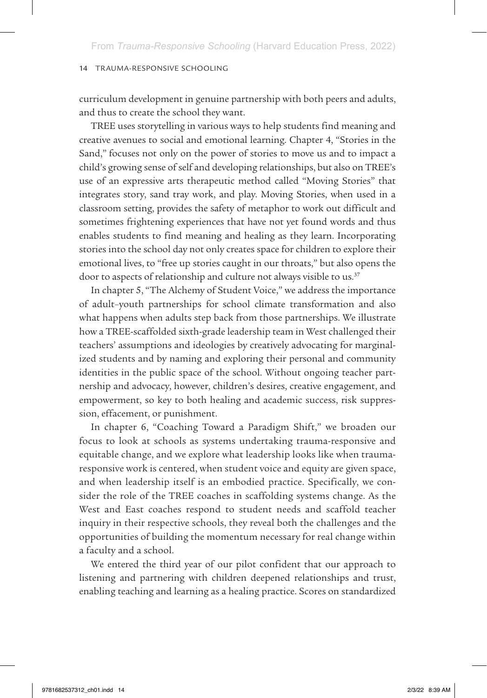curriculum development in genuine partnership with both peers and adults, and thus to create the school they want.

TREE uses storytelling in various ways to help students find meaning and creative avenues to social and emotional learning. Chapter 4, "Stories in the Sand," focuses not only on the power of stories to move us and to impact a child's growing sense of self and developing relationships, but also on TREE's use of an expressive arts therapeutic method called "Moving Stories" that integrates story, sand tray work, and play. Moving Stories, when used in a classroom setting, provides the safety of metaphor to work out difficult and sometimes frightening experiences that have not yet found words and thus enables students to find meaning and healing as they learn. Incorporating stories into the school day not only creates space for children to explore their emotional lives, to "free up stories caught in our throats," but also opens the door to aspects of relationship and culture not always visible to us.<sup>37</sup>

In chapter 5, "The Alchemy of Student Voice," we address the importance of adult–youth partnerships for school climate transformation and also what happens when adults step back from those partnerships. We illustrate how a TREE-scaffolded sixth-grade leadership team in West challenged their teachers' assumptions and ideologies by creatively advocating for marginalized students and by naming and exploring their personal and community identities in the public space of the school. Without ongoing teacher partnership and advocacy, however, children's desires, creative engagement, and empowerment, so key to both healing and academic success, risk suppression, effacement, or punishment.

In chapter 6, "Coaching Toward a Paradigm Shift," we broaden our focus to look at schools as systems undertaking trauma-responsive and equitable change, and we explore what leadership looks like when traumaresponsive work is centered, when student voice and equity are given space, and when leadership itself is an embodied practice. Specifically, we consider the role of the TREE coaches in scaffolding systems change. As the West and East coaches respond to student needs and scaffold teacher inquiry in their respective schools, they reveal both the challenges and the opportunities of building the momentum necessary for real change within a faculty and a school.

We entered the third year of our pilot confident that our approach to listening and partnering with children deepened relationships and trust, enabling teaching and learning as a healing practice. Scores on standardized